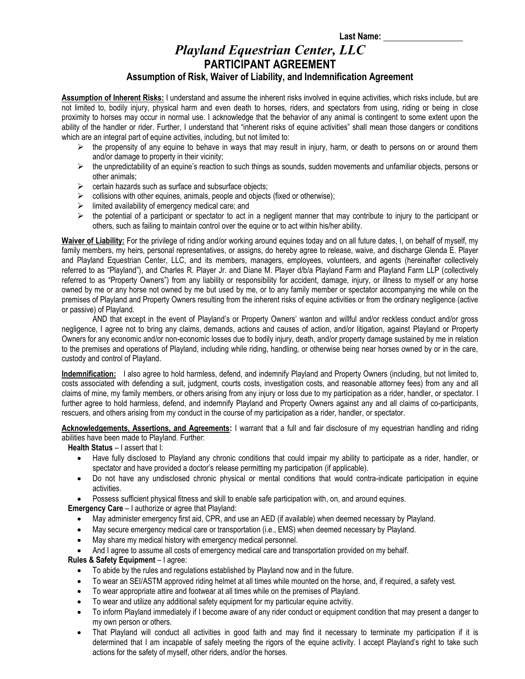## *Playland Equestrian Center, LLC* **PARTICIPANT AGREEMENT Assumption of Risk, Waiver of Liability, and Indemnification Agreement**

**Assumption of Inherent Risks:** I understand and assume the inherent risks involved in equine activities, which risks include, but are not limited to, bodily injury, physical harm and even death to horses, riders, and spectators from using, riding or being in close proximity to horses may occur in normal use. I acknowledge that the behavior of any animal is contingent to some extent upon the ability of the handler or rider. Further, I understand that "inherent risks of equine activities" shall mean those dangers or conditions which are an integral part of equine activities, including, but not limited to:

- $\triangleright$  the propensity of any equine to behave in ways that may result in injury, harm, or death to persons on or around them and/or damage to property in their vicinity;
- $\triangleright$  the unpredictability of an equine's reaction to such things as sounds, sudden movements and unfamiliar objects, persons or other animals;
- $\triangleright$  certain hazards such as surface and subsurface objects;
- $\triangleright$  collisions with other equines, animals, people and objects (fixed or otherwise);
- $\triangleright$  limited availability of emergency medical care; and
- $\triangleright$  the potential of a participant or spectator to act in a negligent manner that may contribute to injury to the participant or others, such as failing to maintain control over the equine or to act within his/her ability.

**Waiver of Liability:** For the privilege of riding and/or working around equines today and on all future dates, I, on behalf of myself, my family members, my heirs, personal representatives, or assigns, do hereby agree to release, waive, and discharge Glenda E. Player and Playland Equestrian Center, LLC, and its members, managers, employees, volunteers, and agents (hereinafter collectively referred to as "Playland"), and Charles R. Player Jr. and Diane M. Player d/b/a Playland Farm and Playland Farm LLP (collectively referred to as "Property Owners") from any liability or responsibility for accident, damage, injury, or illness to myself or any horse owned by me or any horse not owned by me but used by me, or to any family member or spectator accompanying me while on the premises of Playland and Property Owners resulting from the inherent risks of equine activities or from the ordinary negligence (active or passive) of Playland.

AND that except in the event of Playland's or Property Owners' wanton and willful and/or reckless conduct and/or gross negligence, I agree not to bring any claims, demands, actions and causes of action, and/or litigation, against Playland or Property Owners for any economic and/or non-economic losses due to bodily injury, death, and/or property damage sustained by me in relation to the premises and operations of Playland, including while riding, handling, or otherwise being near horses owned by or in the care, custody and control of Playland.

**Indemnification:** I also agree to hold harmless, defend, and indemnify Playland and Property Owners (including, but not limited to, costs associated with defending a suit, judgment, courts costs, investigation costs, and reasonable attorney fees) from any and all claims of mine, my family members, or others arising from any injury or loss due to my participation as a rider, handler, or spectator. I further agree to hold harmless, defend, and indemnify Playland and Property Owners against any and all claims of co-participants, rescuers, and others arising from my conduct in the course of my participation as a rider, handler, or spectator.

**Acknowledgements, Assertions, and Agreements:** I warrant that a full and fair disclosure of my equestrian handling and riding abilities have been made to Playland. Further:

**Health Status** – I assert that I:

- Have fully disclosed to Playland any chronic conditions that could impair my ability to participate as a rider, handler, or spectator and have provided a doctor's release permitting my participation (if applicable).
- Do not have any undisclosed chronic physical or mental conditions that would contra-indicate participation in equine activities.
- Possess sufficient physical fitness and skill to enable safe participation with, on, and around equines.

**Emergency Care** – I authorize or agree that Playland:

- May administer emergency first aid, CPR, and use an AED (if available) when deemed necessary by Playland.
- x May secure emergency medical care or transportation (i.e., EMS) when deemed necessary by Playland.
- May share my medical history with emergency medical personnel.
- And I agree to assume all costs of emergency medical care and transportation provided on my behalf.

## **Rules & Safety Equipment** – I agree:

- To abide by the rules and regulations established by Playland now and in the future.
- To wear an SEI/ASTM approved riding helmet at all times while mounted on the horse, and, if required, a safety vest.
- To wear appropriate attire and footwear at all times while on the premises of Playland.
- To wear and utilize any additional safety equipment for my particular equine actyitiy.
- To inform Playland immediately if I become aware of any rider conduct or equipment condition that may present a danger to my own person or others.
- That Playland will conduct all activities in good faith and may find it necessary to terminate my participation if it is determined that I am incapable of safely meeting the rigors of the equine activity. I accept Playland's right to take such actions for the safety of myself, other riders, and/or the horses.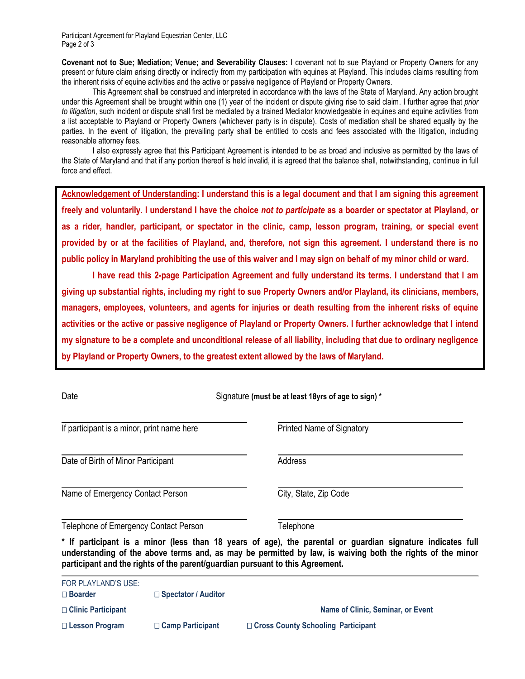Participant Agreement for Playland Equestrian Center, LLC Page 2 of 3

**Covenant not to Sue; Mediation; Venue; and Severability Clauses:** I covenant not to sue Playland or Property Owners for any present or future claim arising directly or indirectly from my participation with equines at Playland. This includes claims resulting from the inherent risks of equine activities and the active or passive negligence of Playland or Property Owners.

This Agreement shall be construed and interpreted in accordance with the laws of the State of Maryland. Any action brought under this Agreement shall be brought within one (1) year of the incident or dispute giving rise to said claim. I further agree that *prior to litigation*, such incident or dispute shall first be mediated by a trained Mediator knowledgeable in equines and equine activities from a list acceptable to Playland or Property Owners (whichever party is in dispute). Costs of mediation shall be shared equally by the parties. In the event of litigation, the prevailing party shall be entitled to costs and fees associated with the litigation, including reasonable attorney fees.

I also expressly agree that this Participant Agreement is intended to be as broad and inclusive as permitted by the laws of the State of Maryland and that if any portion thereof is held invalid, it is agreed that the balance shall, notwithstanding, continue in full force and effect.

**Acknowledgement of Understanding: I understand this is a legal document and that I am signing this agreement freely and voluntarily. I understand I have the choice** *not to participate* **as a boarder or spectator at Playland, or as a rider, handler, participant, or spectator in the clinic, camp, lesson program, training, or special event provided by or at the facilities of Playland, and, therefore, not sign this agreement. I understand there is no public policy in Maryland prohibiting the use of this waiver and I may sign on behalf of my minor child or ward.**

**I have read this 2-page Participation Agreement and fully understand its terms. I understand that I am giving up substantial rights, including my right to sue Property Owners and/or Playland, its clinicians, members, managers, employees, volunteers, and agents for injuries or death resulting from the inherent risks of equine activities or the active or passive negligence of Playland or Property Owners. I further acknowledge that I intend my signature to be a complete and unconditional release of all liability, including that due to ordinary negligence by Playland or Property Owners, to the greatest extent allowed by the laws of Maryland.** 

| Date                                       |                                                                               | Signature (must be at least 18yrs of age to sign) *                                                                                                                                                                     |  |  |
|--------------------------------------------|-------------------------------------------------------------------------------|-------------------------------------------------------------------------------------------------------------------------------------------------------------------------------------------------------------------------|--|--|
| If participant is a minor, print name here |                                                                               | <b>Printed Name of Signatory</b>                                                                                                                                                                                        |  |  |
| Date of Birth of Minor Participant         |                                                                               | Address                                                                                                                                                                                                                 |  |  |
| Name of Emergency Contact Person           |                                                                               | City, State, Zip Code                                                                                                                                                                                                   |  |  |
| Telephone of Emergency Contact Person      |                                                                               | Telephone                                                                                                                                                                                                               |  |  |
|                                            | participant and the rights of the parent/guardian pursuant to this Agreement. | * If participant is a minor (less than 18 years of age), the parental or guardian signature indicates full<br>understanding of the above terms and, as may be permitted by law, is waiving both the rights of the minor |  |  |
| FOR PLAYLAND'S USE:<br>$\square$ Boarder   | $\Box$ Spectator / Auditor                                                    |                                                                                                                                                                                                                         |  |  |

| $\Box$ Clinic Participant |                         | Name of Clinic, Seminar, or Event    |  |
|---------------------------|-------------------------|--------------------------------------|--|
| $\Box$ Lesson Program     | $\Box$ Camp Participant | □ Cross County Schooling Participant |  |